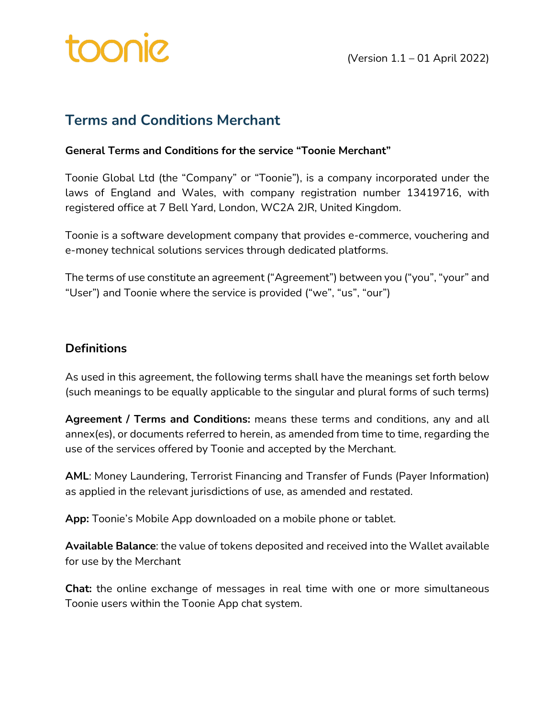

## **Terms and Conditions Merchant**

#### **General Terms and Conditions for the service "Toonie Merchant"**

Toonie Global Ltd (the "Company" or "Toonie"), is a company incorporated under the laws of England and Wales, with company registration number 13419716, with registered office at 7 Bell Yard, London, WC2A 2JR, United Kingdom.

Toonie is a software development company that provides e-commerce, vouchering and e-money technical solutions services through dedicated platforms.

The terms of use constitute an agreement ("Agreement") between you ("you", "your" and "User") and Toonie where the service is provided ("we", "us", "our")

#### **Definitions**

As used in this agreement, the following terms shall have the meanings set forth below (such meanings to be equally applicable to the singular and plural forms of such terms)

**Agreement / Terms and Conditions:** means these terms and conditions, any and all annex(es), or documents referred to herein, as amended from time to time, regarding the use of the services offered by Toonie and accepted by the Merchant.

**AML**: Money Laundering, Terrorist Financing and Transfer of Funds (Payer Information) as applied in the relevant jurisdictions of use, as amended and restated.

**App:** Toonie's Mobile App downloaded on a mobile phone or tablet.

**Available Balance**: the value of tokens deposited and received into the Wallet available for use by the Merchant

**Chat:** the online exchange of messages in real time with one or more simultaneous Toonie users within the Toonie App chat system.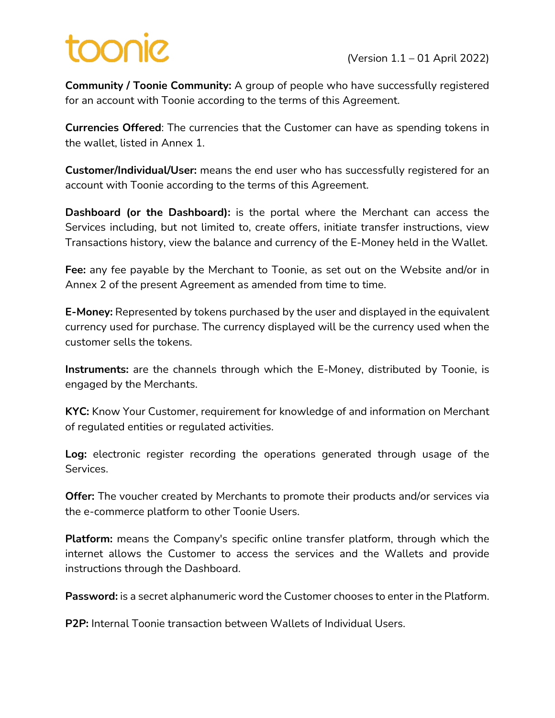**Community / Toonie Community:** A group of people who have successfully registered for an account with Toonie according to the terms of this Agreement.

**Currencies Offered**: The currencies that the Customer can have as spending tokens in the wallet, listed in Annex 1.

**Customer/Individual/User:** means the end user who has successfully registered for an account with Toonie according to the terms of this Agreement.

**Dashboard (or the Dashboard):** is the portal where the Merchant can access the Services including, but not limited to, create offers, initiate transfer instructions, view Transactions history, view the balance and currency of the E-Money held in the Wallet.

**Fee:** any fee payable by the Merchant to Toonie, as set out on the Website and/or in Annex 2 of the present Agreement as amended from time to time.

**E-Money:** Represented by tokens purchased by the user and displayed in the equivalent currency used for purchase. The currency displayed will be the currency used when the customer sells the tokens.

**Instruments:** are the channels through which the E-Money, distributed by Toonie, is engaged by the Merchants.

**KYC:** Know Your Customer, requirement for knowledge of and information on Merchant of regulated entities or regulated activities.

**Log:** electronic register recording the operations generated through usage of the Services.

**Offer:** The voucher created by Merchants to promote their products and/or services via the e-commerce platform to other Toonie Users.

**Platform:** means the Company's specific online transfer platform, through which the internet allows the Customer to access the services and the Wallets and provide instructions through the Dashboard.

**Password:** is a secret alphanumeric word the Customer chooses to enter in the Platform.

**P2P:** Internal Toonie transaction between Wallets of Individual Users.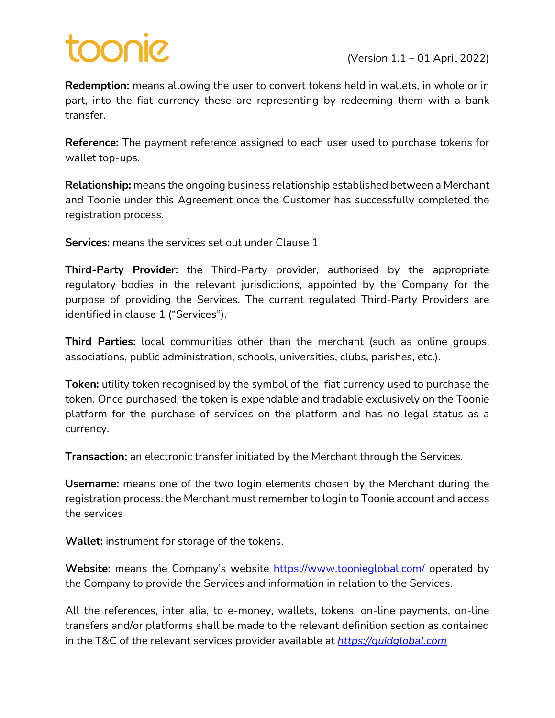**Redemption:** means allowing the user to convert tokens held in wallets, in whole or in part, into the fiat currency these are representing by redeeming them with a bank transfer.

**Reference:** The payment reference assigned to each user used to purchase tokens for wallet top-ups.

**Relationship:** means the ongoing business relationship established between a Merchant and Toonie under this Agreement once the Customer has successfully completed the registration process.

**Services:** means the services set out under Clause 1

**Third-Party Provider:** the Third-Party provider, authorised by the appropriate regulatory bodies in the relevant jurisdictions, appointed by the Company for the purpose of providing the Services. The current regulated Third-Party Providers are identified in clause 1 ("Services").

**Third Parties:** local communities other than the merchant (such as online groups, associations, public administration, schools, universities, clubs, parishes, etc.).

**Token:** utility token recognised by the symbol of the fiat currency used to purchase the token. Once purchased, the token is expendable and tradable exclusively on the Toonie platform for the purchase of services on the platform and has no legal status as a currency.

**Transaction:** an electronic transfer initiated by the Merchant through the Services.

**Username:** means one of the two login elements chosen by the Merchant during the registration process. the Merchant must remember to login to Toonie account and access the services

**Wallet:** instrument for storage of the tokens.

**Website:** means the Company's website https://www.toonieglobal.com/ operated by the Company to provide the Services and information in relation to the Services.

All the references, inter alia, to e-money, wallets, tokens, on-line payments, on-line transfers and/or platforms shall be made to the relevant definition section as contained in the T&C of the relevant services provider available at *https://quidglobal.com*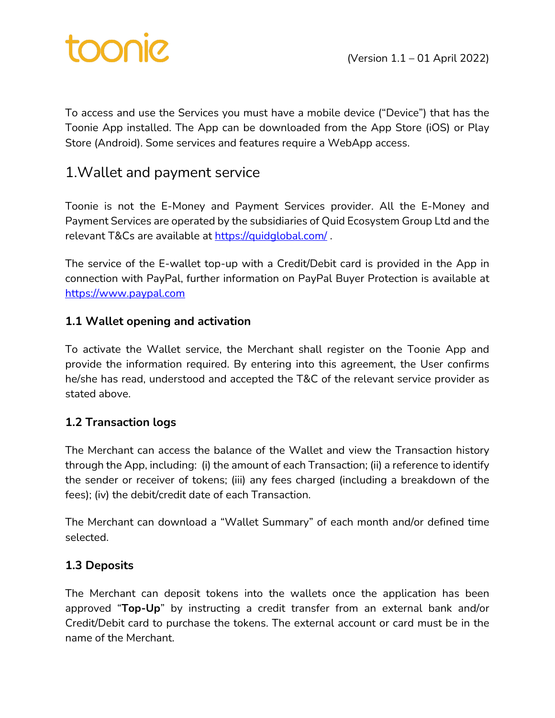To access and use the Services you must have a mobile device ("Device") that has the Toonie App installed. The App can be downloaded from the App Store (iOS) or Play Store (Android). Some services and features require a WebApp access.

## 1.Wallet and payment service

Toonie is not the E-Money and Payment Services provider. All the E-Money and Payment Services are operated by the subsidiaries of Quid Ecosystem Group Ltd and the relevant T&Cs are available at https://quidglobal.com/ .

The service of the E-wallet top-up with a Credit/Debit card is provided in the App in connection with PayPal, further information on PayPal Buyer Protection is available at https://www.paypal.com

### **1.1 Wallet opening and activation**

To activate the Wallet service, the Merchant shall register on the Toonie App and provide the information required. By entering into this agreement, the User confirms he/she has read, understood and accepted the T&C of the relevant service provider as stated above.

### **1.2 Transaction logs**

The Merchant can access the balance of the Wallet and view the Transaction history through the App, including: (i) the amount of each Transaction; (ii) a reference to identify the sender or receiver of tokens; (iii) any fees charged (including a breakdown of the fees); (iv) the debit/credit date of each Transaction.

The Merchant can download a "Wallet Summary" of each month and/or defined time selected.

### **1.3 Deposits**

The Merchant can deposit tokens into the wallets once the application has been approved "**Top-Up**" by instructing a credit transfer from an external bank and/or Credit/Debit card to purchase the tokens. The external account or card must be in the name of the Merchant.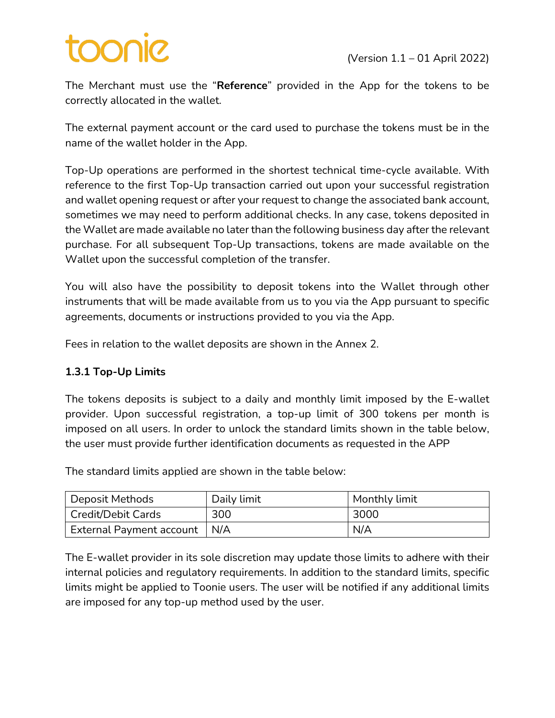# **DOOD**

The Merchant must use the "**Reference**" provided in the App for the tokens to be correctly allocated in the wallet.

The external payment account or the card used to purchase the tokens must be in the name of the wallet holder in the App.

Top-Up operations are performed in the shortest technical time-cycle available. With reference to the first Top-Up transaction carried out upon your successful registration and wallet opening request or after your request to change the associated bank account, sometimes we may need to perform additional checks. In any case, tokens deposited in the Wallet are made available no later than the following business day after the relevant purchase. For all subsequent Top-Up transactions, tokens are made available on the Wallet upon the successful completion of the transfer.

You will also have the possibility to deposit tokens into the Wallet through other instruments that will be made available from us to you via the App pursuant to specific agreements, documents or instructions provided to you via the App.

Fees in relation to the wallet deposits are shown in the Annex 2.

#### **1.3.1 Top-Up Limits**

The tokens deposits is subject to a daily and monthly limit imposed by the E-wallet provider. Upon successful registration, a top-up limit of 300 tokens per month is imposed on all users. In order to unlock the standard limits shown in the table below, the user must provide further identification documents as requested in the APP

The standard limits applied are shown in the table below:

| Deposit Methods                | Daily limit | Monthly limit |
|--------------------------------|-------------|---------------|
| <b>Credit/Debit Cards</b>      | 300         | 3000          |
| External Payment account   N/A |             | N/A           |

The E-wallet provider in its sole discretion may update those limits to adhere with their internal policies and regulatory requirements. In addition to the standard limits, specific limits might be applied to Toonie users. The user will be notified if any additional limits are imposed for any top-up method used by the user.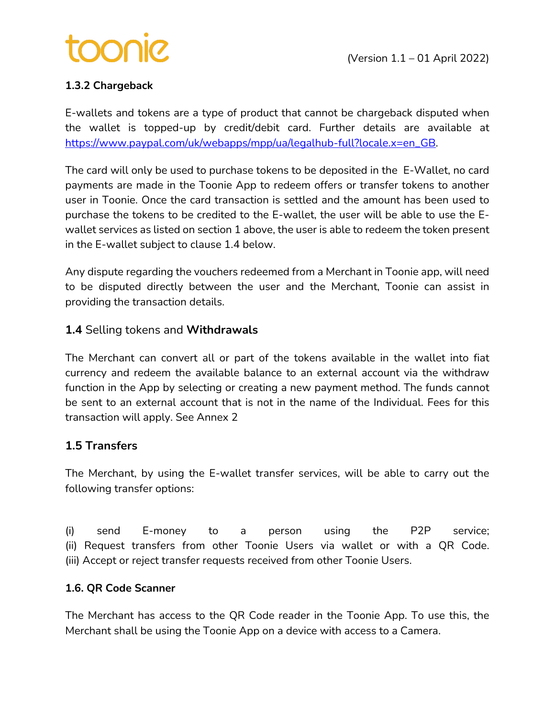

### **1.3.2 Chargeback**

E-wallets and tokens are a type of product that cannot be chargeback disputed when the wallet is topped-up by credit/debit card. Further details are available at https://www.paypal.com/uk/webapps/mpp/ua/legalhub-full?locale.x=en\_GB.

The card will only be used to purchase tokens to be deposited in the E-Wallet, no card payments are made in the Toonie App to redeem offers or transfer tokens to another user in Toonie. Once the card transaction is settled and the amount has been used to purchase the tokens to be credited to the E-wallet, the user will be able to use the Ewallet services as listed on section 1 above, the user is able to redeem the token present in the E-wallet subject to clause 1.4 below.

Any dispute regarding the vouchers redeemed from a Merchant in Toonie app, will need to be disputed directly between the user and the Merchant, Toonie can assist in providing the transaction details.

#### **1.4** Selling tokens and **Withdrawals**

The Merchant can convert all or part of the tokens available in the wallet into fiat currency and redeem the available balance to an external account via the withdraw function in the App by selecting or creating a new payment method. The funds cannot be sent to an external account that is not in the name of the Individual. Fees for this transaction will apply. See Annex 2

#### **1.5 Transfers**

The Merchant, by using the E-wallet transfer services, will be able to carry out the following transfer options:

(i) send E-money to a person using the P2P service; (ii) Request transfers from other Toonie Users via wallet or with a QR Code. (iii) Accept or reject transfer requests received from other Toonie Users.

#### **1.6. QR Code Scanner**

The Merchant has access to the QR Code reader in the Toonie App. To use this, the Merchant shall be using the Toonie App on a device with access to a Camera.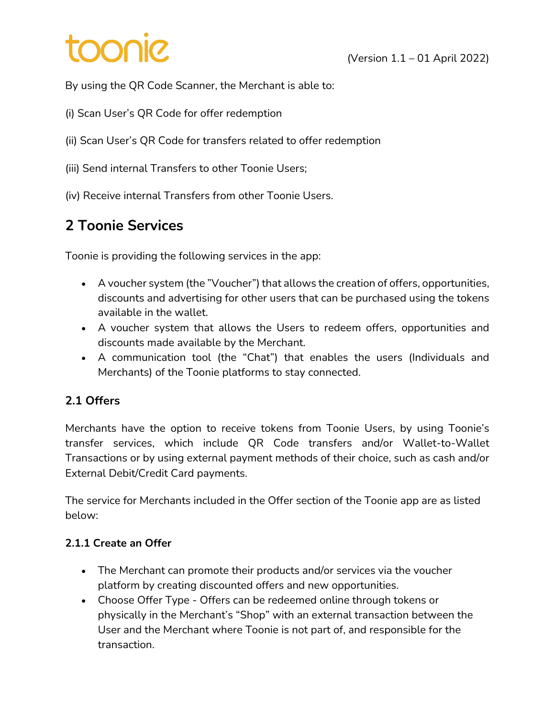# pinoc

By using the QR Code Scanner, the Merchant is able to:

- (i) Scan User's QR Code for offer redemption
- (ii) Scan User's QR Code for transfers related to offer redemption
- (iii) Send internal Transfers to other Toonie Users;
- (iv) Receive internal Transfers from other Toonie Users.

# **2 Toonie Services**

Toonie is providing the following services in the app:

- A voucher system (the "Voucher") that allows the creation of offers, opportunities, discounts and advertising for other users that can be purchased using the tokens available in the wallet.
- A voucher system that allows the Users to redeem offers, opportunities and discounts made available by the Merchant.
- A communication tool (the "Chat") that enables the users (Individuals and Merchants) of the Toonie platforms to stay connected.

### **2.1 Offers**

Merchants have the option to receive tokens from Toonie Users, by using Toonie's transfer services, which include QR Code transfers and/or Wallet-to-Wallet Transactions or by using external payment methods of their choice, such as cash and/or External Debit/Credit Card payments.

The service for Merchants included in the Offer section of the Toonie app are as listed below:

### **2.1.1 Create an Offer**

- The Merchant can promote their products and/or services via the voucher platform by creating discounted offers and new opportunities.
- Choose Offer Type Offers can be redeemed online through tokens or physically in the Merchant's "Shop" with an external transaction between the User and the Merchant where Toonie is not part of, and responsible for the transaction.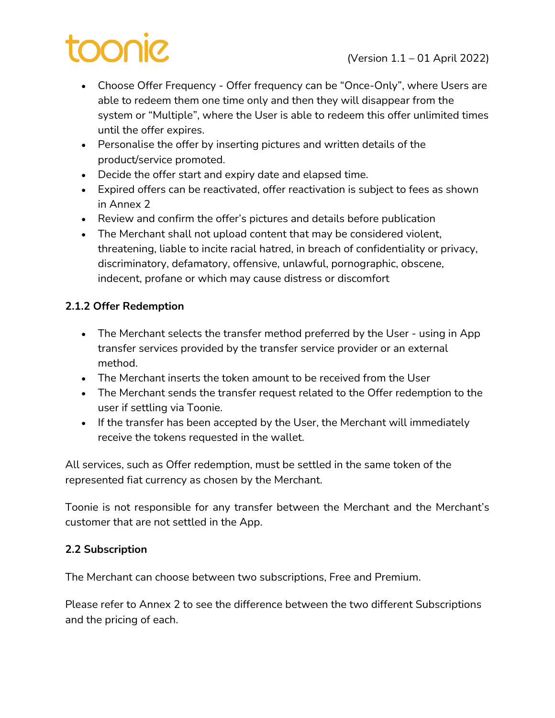# DOONIC

- Choose Offer Frequency Offer frequency can be "Once-Only", where Users are able to redeem them one time only and then they will disappear from the system or "Multiple", where the User is able to redeem this offer unlimited times until the offer expires.
- Personalise the offer by inserting pictures and written details of the product/service promoted.
- Decide the offer start and expiry date and elapsed time.
- Expired offers can be reactivated, offer reactivation is subject to fees as shown in Annex 2
- Review and confirm the offer's pictures and details before publication
- The Merchant shall not upload content that may be considered violent, threatening, liable to incite racial hatred, in breach of confidentiality or privacy, discriminatory, defamatory, offensive, unlawful, pornographic, obscene, indecent, profane or which may cause distress or discomfort

### **2.1.2 Offer Redemption**

- The Merchant selects the transfer method preferred by the User using in App transfer services provided by the transfer service provider or an external method.
- The Merchant inserts the token amount to be received from the User
- The Merchant sends the transfer request related to the Offer redemption to the user if settling via Toonie.
- If the transfer has been accepted by the User, the Merchant will immediately receive the tokens requested in the wallet.

All services, such as Offer redemption, must be settled in the same token of the represented fiat currency as chosen by the Merchant.

Toonie is not responsible for any transfer between the Merchant and the Merchant's customer that are not settled in the App.

#### **2.2 Subscription**

The Merchant can choose between two subscriptions, Free and Premium.

Please refer to Annex 2 to see the difference between the two different Subscriptions and the pricing of each.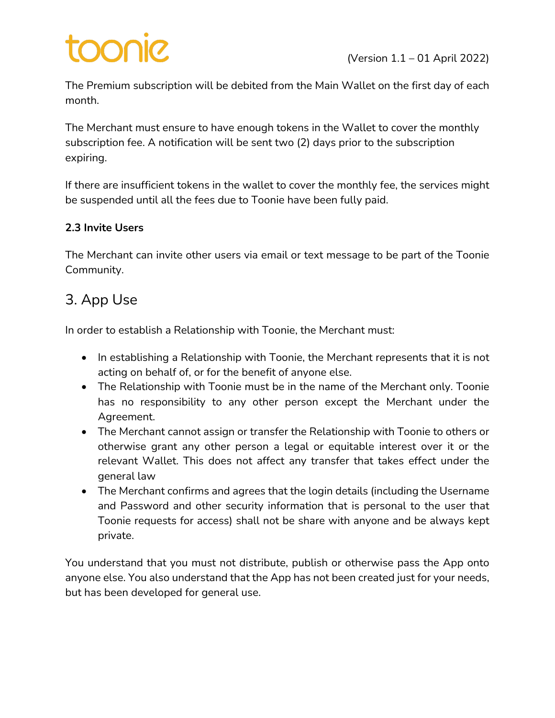# **SINOC**

The Premium subscription will be debited from the Main Wallet on the first day of each month.

The Merchant must ensure to have enough tokens in the Wallet to cover the monthly subscription fee. A notification will be sent two (2) days prior to the subscription expiring.

If there are insufficient tokens in the wallet to cover the monthly fee, the services might be suspended until all the fees due to Toonie have been fully paid.

### **2.3 Invite Users**

The Merchant can invite other users via email or text message to be part of the Toonie Community.

# 3. App Use

In order to establish a Relationship with Toonie, the Merchant must:

- In establishing a Relationship with Toonie, the Merchant represents that it is not acting on behalf of, or for the benefit of anyone else.
- The Relationship with Toonie must be in the name of the Merchant only. Toonie has no responsibility to any other person except the Merchant under the Agreement.
- The Merchant cannot assign or transfer the Relationship with Toonie to others or otherwise grant any other person a legal or equitable interest over it or the relevant Wallet. This does not affect any transfer that takes effect under the general law
- The Merchant confirms and agrees that the login details (including the Username and Password and other security information that is personal to the user that Toonie requests for access) shall not be share with anyone and be always kept private.

You understand that you must not distribute, publish or otherwise pass the App onto anyone else. You also understand that the App has not been created just for your needs, but has been developed for general use.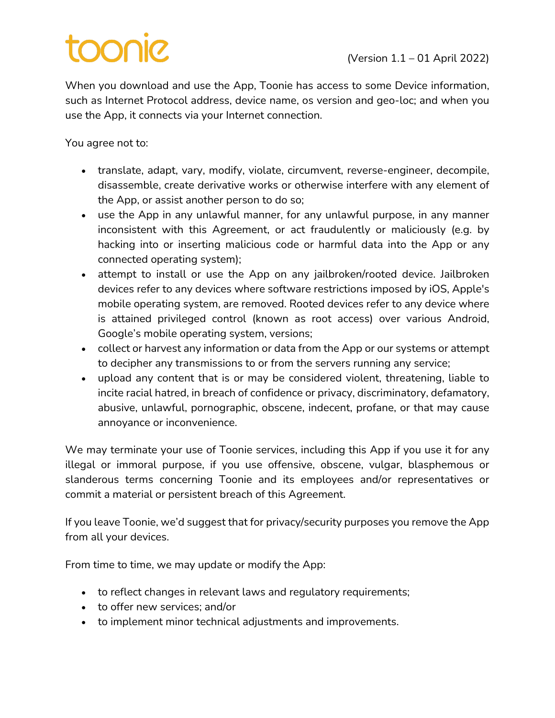# **SINOC**

When you download and use the App, Toonie has access to some Device information, such as Internet Protocol address, device name, os version and geo-loc; and when you use the App, it connects via your Internet connection.

You agree not to:

- translate, adapt, vary, modify, violate, circumvent, reverse-engineer, decompile, disassemble, create derivative works or otherwise interfere with any element of the App, or assist another person to do so;
- use the App in any unlawful manner, for any unlawful purpose, in any manner inconsistent with this Agreement, or act fraudulently or maliciously (e.g. by hacking into or inserting malicious code or harmful data into the App or any connected operating system);
- attempt to install or use the App on any jailbroken/rooted device. Jailbroken devices refer to any devices where software restrictions imposed by iOS, Apple's mobile operating system, are removed. Rooted devices refer to any device where is attained privileged control (known as root access) over various Android, Google's mobile operating system, versions;
- collect or harvest any information or data from the App or our systems or attempt to decipher any transmissions to or from the servers running any service;
- upload any content that is or may be considered violent, threatening, liable to incite racial hatred, in breach of confidence or privacy, discriminatory, defamatory, abusive, unlawful, pornographic, obscene, indecent, profane, or that may cause annoyance or inconvenience.

We may terminate your use of Toonie services, including this App if you use it for any illegal or immoral purpose, if you use offensive, obscene, vulgar, blasphemous or slanderous terms concerning Toonie and its employees and/or representatives or commit a material or persistent breach of this Agreement.

If you leave Toonie, we'd suggest that for privacy/security purposes you remove the App from all your devices.

From time to time, we may update or modify the App:

- to reflect changes in relevant laws and regulatory requirements;
- to offer new services; and/or
- to implement minor technical adjustments and improvements.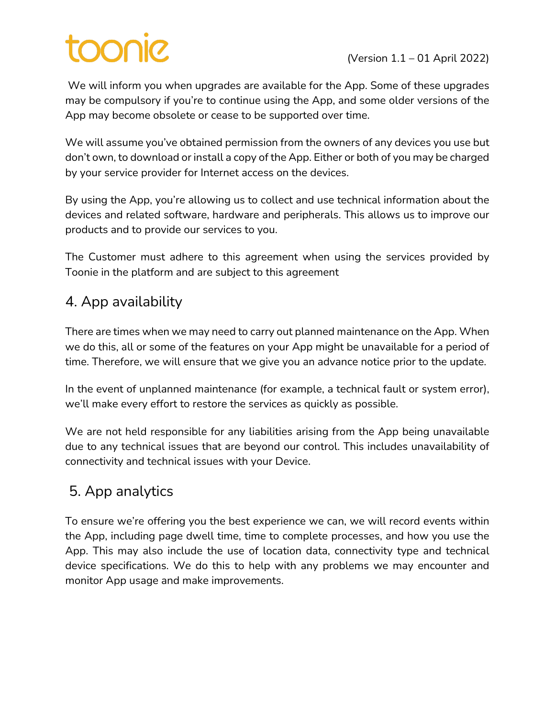# Sinoc

We will inform you when upgrades are available for the App. Some of these upgrades may be compulsory if you're to continue using the App, and some older versions of the App may become obsolete or cease to be supported over time.

We will assume you've obtained permission from the owners of any devices you use but don't own, to download or install a copy of the App. Either or both of you may be charged by your service provider for Internet access on the devices.

By using the App, you're allowing us to collect and use technical information about the devices and related software, hardware and peripherals. This allows us to improve our products and to provide our services to you.

The Customer must adhere to this agreement when using the services provided by Toonie in the platform and are subject to this agreement

# 4. App availability

There are times when we may need to carry out planned maintenance on the App. When we do this, all or some of the features on your App might be unavailable for a period of time. Therefore, we will ensure that we give you an advance notice prior to the update.

In the event of unplanned maintenance (for example, a technical fault or system error), we'll make every effort to restore the services as quickly as possible.

We are not held responsible for any liabilities arising from the App being unavailable due to any technical issues that are beyond our control. This includes unavailability of connectivity and technical issues with your Device.

# 5. App analytics

To ensure we're offering you the best experience we can, we will record events within the App, including page dwell time, time to complete processes, and how you use the App. This may also include the use of location data, connectivity type and technical device specifications. We do this to help with any problems we may encounter and monitor App usage and make improvements.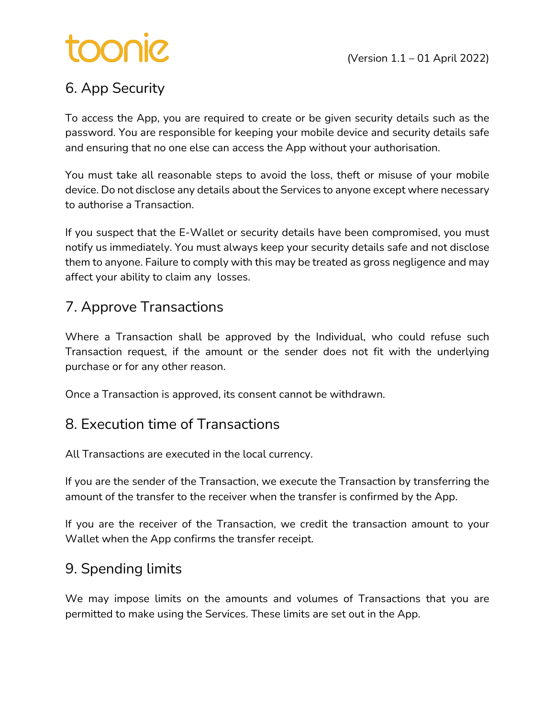# toonie

# 6. App Security

To access the App, you are required to create or be given security details such as the password. You are responsible for keeping your mobile device and security details safe and ensuring that no one else can access the App without your authorisation.

You must take all reasonable steps to avoid the loss, theft or misuse of your mobile device. Do not disclose any details about the Services to anyone except where necessary to authorise a Transaction.

If you suspect that the E-Wallet or security details have been compromised, you must notify us immediately. You must always keep your security details safe and not disclose them to anyone. Failure to comply with this may be treated as gross negligence and may affect your ability to claim any losses.

# 7. Approve Transactions

Where a Transaction shall be approved by the Individual, who could refuse such Transaction request, if the amount or the sender does not fit with the underlying purchase or for any other reason.

Once a Transaction is approved, its consent cannot be withdrawn.

## 8. Execution time of Transactions

All Transactions are executed in the local currency.

If you are the sender of the Transaction, we execute the Transaction by transferring the amount of the transfer to the receiver when the transfer is confirmed by the App.

If you are the receiver of the Transaction, we credit the transaction amount to your Wallet when the App confirms the transfer receipt.

# 9. Spending limits

We may impose limits on the amounts and volumes of Transactions that you are permitted to make using the Services. These limits are set out in the App.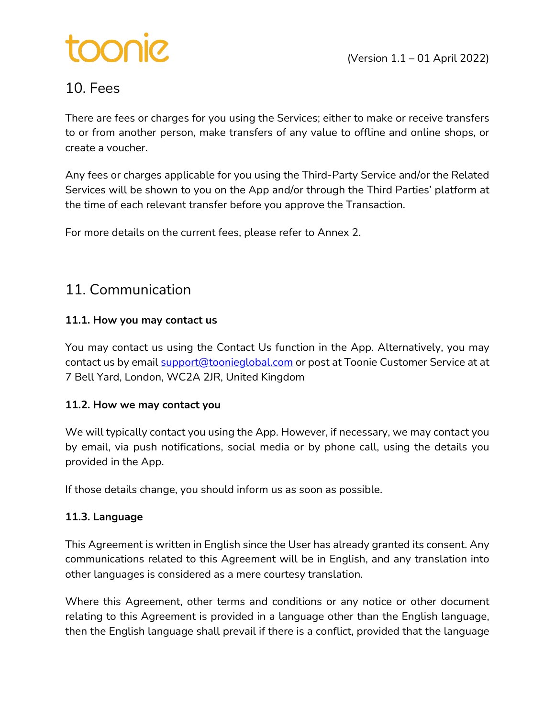# sinoo:

# 10. Fees

There are fees or charges for you using the Services; either to make or receive transfers to or from another person, make transfers of any value to offline and online shops, or create a voucher.

Any fees or charges applicable for you using the Third-Party Service and/or the Related Services will be shown to you on the App and/or through the Third Parties' platform at the time of each relevant transfer before you approve the Transaction.

For more details on the current fees, please refer to Annex 2.

## 11. Communication

#### **11.1. How you may contact us**

You may contact us using the Contact Us function in the App. Alternatively, you may contact us by email support@toonieglobal.com or post at Toonie Customer Service at at 7 Bell Yard, London, WC2A 2JR, United Kingdom

#### **11.2. How we may contact you**

We will typically contact you using the App. However, if necessary, we may contact you by email, via push notifications, social media or by phone call, using the details you provided in the App.

If those details change, you should inform us as soon as possible.

### **11.3. Language**

This Agreement is written in English since the User has already granted its consent. Any communications related to this Agreement will be in English, and any translation into other languages is considered as a mere courtesy translation.

Where this Agreement, other terms and conditions or any notice or other document relating to this Agreement is provided in a language other than the English language, then the English language shall prevail if there is a conflict, provided that the language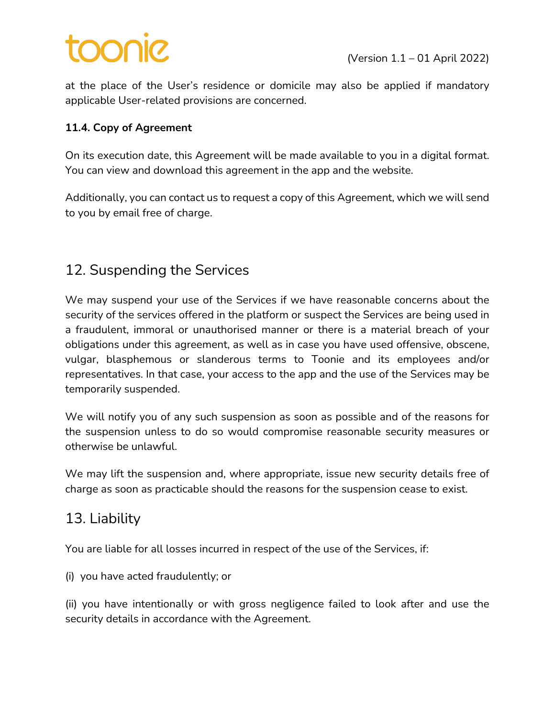# pinoo

at the place of the User's residence or domicile may also be applied if mandatory applicable User-related provisions are concerned.

#### **11.4. Copy of Agreement**

On its execution date, this Agreement will be made available to you in a digital format. You can view and download this agreement in the app and the website.

Additionally, you can contact us to request a copy of this Agreement, which we will send to you by email free of charge.

# 12. Suspending the Services

We may suspend your use of the Services if we have reasonable concerns about the security of the services offered in the platform or suspect the Services are being used in a fraudulent, immoral or unauthorised manner or there is a material breach of your obligations under this agreement, as well as in case you have used offensive, obscene, vulgar, blasphemous or slanderous terms to Toonie and its employees and/or representatives. In that case, your access to the app and the use of the Services may be temporarily suspended.

We will notify you of any such suspension as soon as possible and of the reasons for the suspension unless to do so would compromise reasonable security measures or otherwise be unlawful.

We may lift the suspension and, where appropriate, issue new security details free of charge as soon as practicable should the reasons for the suspension cease to exist.

### 13. Liability

You are liable for all losses incurred in respect of the use of the Services, if:

(i) you have acted fraudulently; or

(ii) you have intentionally or with gross negligence failed to look after and use the security details in accordance with the Agreement.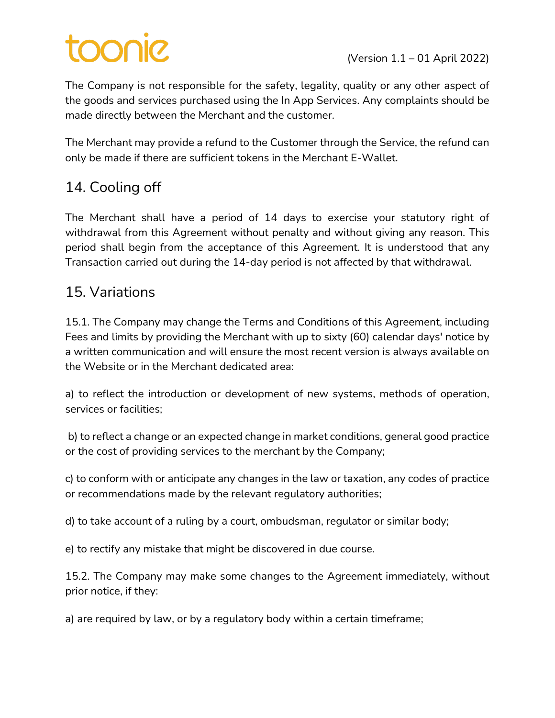The Company is not responsible for the safety, legality, quality or any other aspect of the goods and services purchased using the In App Services. Any complaints should be made directly between the Merchant and the customer.

The Merchant may provide a refund to the Customer through the Service, the refund can only be made if there are sufficient tokens in the Merchant E-Wallet.

# 14. Cooling off

The Merchant shall have a period of 14 days to exercise your statutory right of withdrawal from this Agreement without penalty and without giving any reason. This period shall begin from the acceptance of this Agreement. It is understood that any Transaction carried out during the 14-day period is not affected by that withdrawal.

# 15. Variations

15.1. The Company may change the Terms and Conditions of this Agreement, including Fees and limits by providing the Merchant with up to sixty (60) calendar days' notice by a written communication and will ensure the most recent version is always available on the Website or in the Merchant dedicated area:

a) to reflect the introduction or development of new systems, methods of operation, services or facilities;

b) to reflect a change or an expected change in market conditions, general good practice or the cost of providing services to the merchant by the Company;

c) to conform with or anticipate any changes in the law or taxation, any codes of practice or recommendations made by the relevant regulatory authorities;

d) to take account of a ruling by a court, ombudsman, regulator or similar body;

e) to rectify any mistake that might be discovered in due course.

15.2. The Company may make some changes to the Agreement immediately, without prior notice, if they:

a) are required by law, or by a regulatory body within a certain timeframe;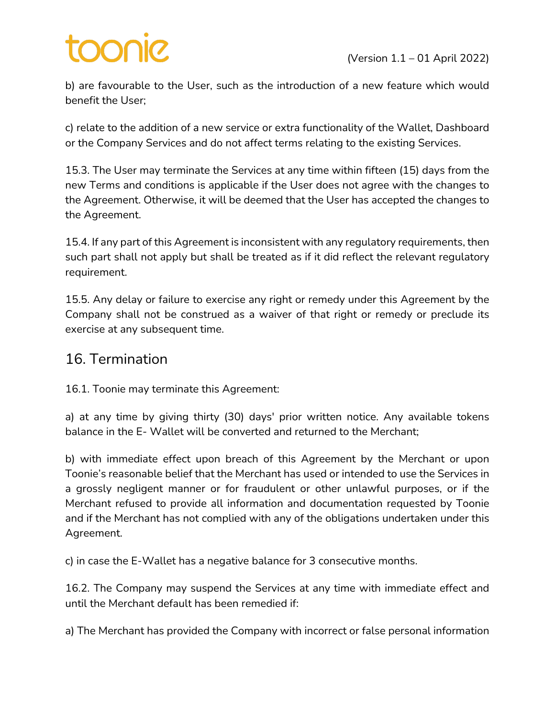b) are favourable to the User, such as the introduction of a new feature which would benefit the User;

c) relate to the addition of a new service or extra functionality of the Wallet, Dashboard or the Company Services and do not affect terms relating to the existing Services.

15.3. The User may terminate the Services at any time within fifteen (15) days from the new Terms and conditions is applicable if the User does not agree with the changes to the Agreement. Otherwise, it will be deemed that the User has accepted the changes to the Agreement.

15.4. If any part of this Agreement is inconsistent with any regulatory requirements, then such part shall not apply but shall be treated as if it did reflect the relevant regulatory requirement.

15.5. Any delay or failure to exercise any right or remedy under this Agreement by the Company shall not be construed as a waiver of that right or remedy or preclude its exercise at any subsequent time.

### 16. Termination

16.1. Toonie may terminate this Agreement:

a) at any time by giving thirty (30) days' prior written notice. Any available tokens balance in the E- Wallet will be converted and returned to the Merchant;

b) with immediate effect upon breach of this Agreement by the Merchant or upon Toonie's reasonable belief that the Merchant has used or intended to use the Services in a grossly negligent manner or for fraudulent or other unlawful purposes, or if the Merchant refused to provide all information and documentation requested by Toonie and if the Merchant has not complied with any of the obligations undertaken under this Agreement.

c) in case the E-Wallet has a negative balance for 3 consecutive months.

16.2. The Company may suspend the Services at any time with immediate effect and until the Merchant default has been remedied if:

a) The Merchant has provided the Company with incorrect or false personal information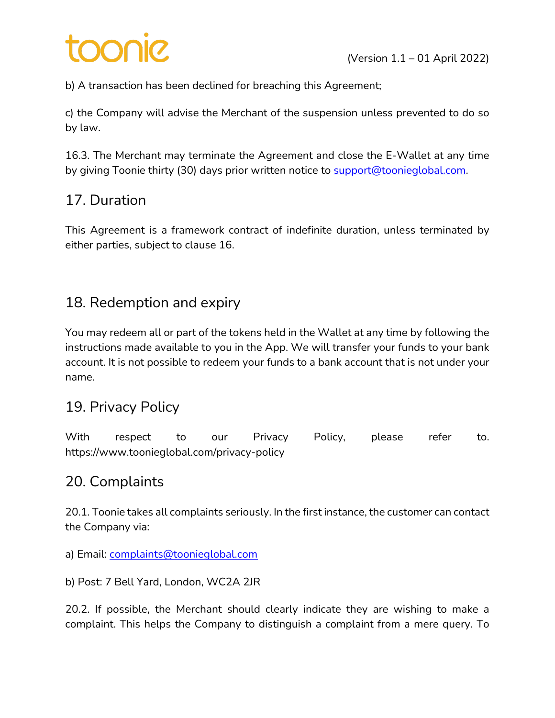b) A transaction has been declined for breaching this Agreement;

c) the Company will advise the Merchant of the suspension unless prevented to do so by law.

16.3. The Merchant may terminate the Agreement and close the E-Wallet at any time by giving Toonie thirty (30) days prior written notice to support@toonieglobal.com.

# 17. Duration

This Agreement is a framework contract of indefinite duration, unless terminated by either parties, subject to clause 16.

# 18. Redemption and expiry

You may redeem all or part of the tokens held in the Wallet at any time by following the instructions made available to you in the App. We will transfer your funds to your bank account. It is not possible to redeem your funds to a bank account that is not under your name.

## 19. Privacy Policy

With respect to our Privacy Policy, please refer to. https://www.toonieglobal.com/privacy-policy

## 20. Complaints

20.1. Toonie takes all complaints seriously. In the first instance, the customer can contact the Company via:

a) Email: *complaints@toonieglobal.com* 

b) Post: 7 Bell Yard, London, WC2A 2JR

20.2. If possible, the Merchant should clearly indicate they are wishing to make a complaint. This helps the Company to distinguish a complaint from a mere query. To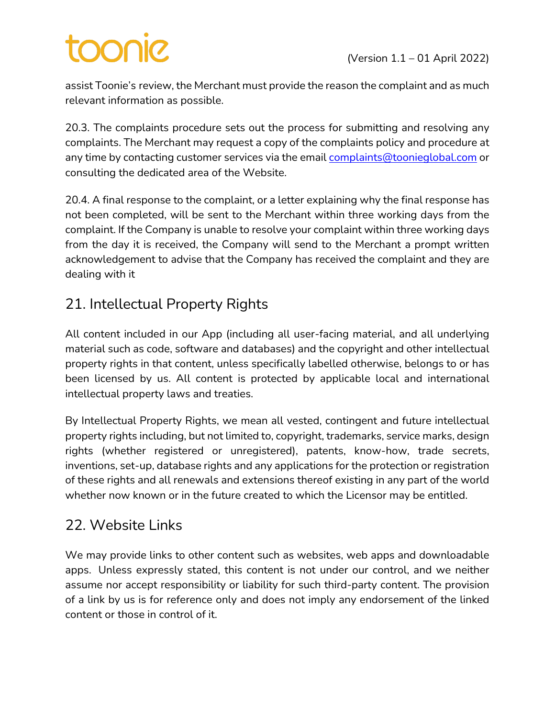# toonie

assist Toonie's review, the Merchant must provide the reason the complaint and as much relevant information as possible.

20.3. The complaints procedure sets out the process for submitting and resolving any complaints. The Merchant may request a copy of the complaints policy and procedure at any time by contacting customer services via the email complaints@toonieglobal.com or consulting the dedicated area of the Website.

20.4. A final response to the complaint, or a letter explaining why the final response has not been completed, will be sent to the Merchant within three working days from the complaint. If the Company is unable to resolve your complaint within three working days from the day it is received, the Company will send to the Merchant a prompt written acknowledgement to advise that the Company has received the complaint and they are dealing with it

# 21. Intellectual Property Rights

All content included in our App (including all user-facing material, and all underlying material such as code, software and databases) and the copyright and other intellectual property rights in that content, unless specifically labelled otherwise, belongs to or has been licensed by us. All content is protected by applicable local and international intellectual property laws and treaties.

By Intellectual Property Rights, we mean all vested, contingent and future intellectual property rights including, but not limited to, copyright, trademarks, service marks, design rights (whether registered or unregistered), patents, know-how, trade secrets, inventions, set-up, database rights and any applications for the protection or registration of these rights and all renewals and extensions thereof existing in any part of the world whether now known or in the future created to which the Licensor may be entitled.

## 22. Website Links

We may provide links to other content such as websites, web apps and downloadable apps. Unless expressly stated, this content is not under our control, and we neither assume nor accept responsibility or liability for such third-party content. The provision of a link by us is for reference only and does not imply any endorsement of the linked content or those in control of it.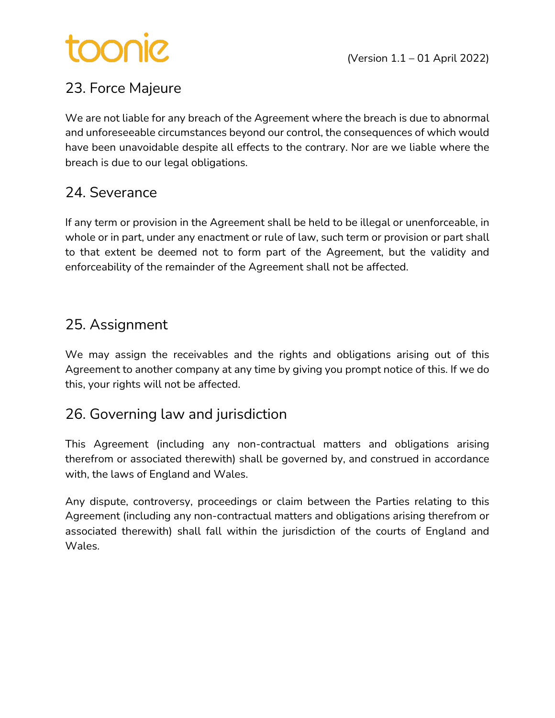# toonie

# 23. Force Majeure

We are not liable for any breach of the Agreement where the breach is due to abnormal and unforeseeable circumstances beyond our control, the consequences of which would have been unavoidable despite all effects to the contrary. Nor are we liable where the breach is due to our legal obligations.

## 24. Severance

If any term or provision in the Agreement shall be held to be illegal or unenforceable, in whole or in part, under any enactment or rule of law, such term or provision or part shall to that extent be deemed not to form part of the Agreement, but the validity and enforceability of the remainder of the Agreement shall not be affected.

## 25. Assignment

We may assign the receivables and the rights and obligations arising out of this Agreement to another company at any time by giving you prompt notice of this. If we do this, your rights will not be affected.

### 26. Governing law and jurisdiction

This Agreement (including any non-contractual matters and obligations arising therefrom or associated therewith) shall be governed by, and construed in accordance with, the laws of England and Wales.

Any dispute, controversy, proceedings or claim between the Parties relating to this Agreement (including any non-contractual matters and obligations arising therefrom or associated therewith) shall fall within the jurisdiction of the courts of England and Wales.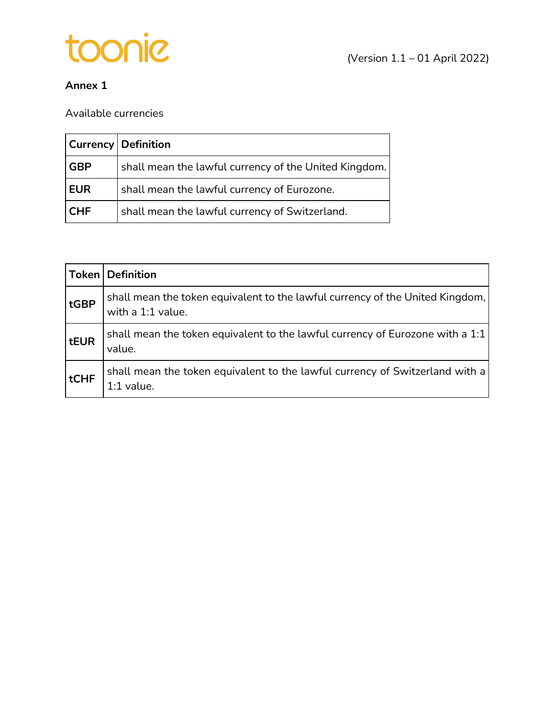

#### **Annex 1**

Available currencies

|            | <b>Currency Definition</b>                            |
|------------|-------------------------------------------------------|
| <b>GBP</b> | shall mean the lawful currency of the United Kingdom. |
| EUR        | shall mean the lawful currency of Eurozone.           |
| <b>CHF</b> | shall mean the lawful currency of Switzerland.        |

|      | <b>Token Definition</b>                                                                            |
|------|----------------------------------------------------------------------------------------------------|
| tGBP | shall mean the token equivalent to the lawful currency of the United Kingdom,<br>with a 1:1 value. |
| tEUR | shall mean the token equivalent to the lawful currency of Eurozone with a 1:1<br>value.            |
| tCHF | shall mean the token equivalent to the lawful currency of Switzerland with a<br>$1:1$ value.       |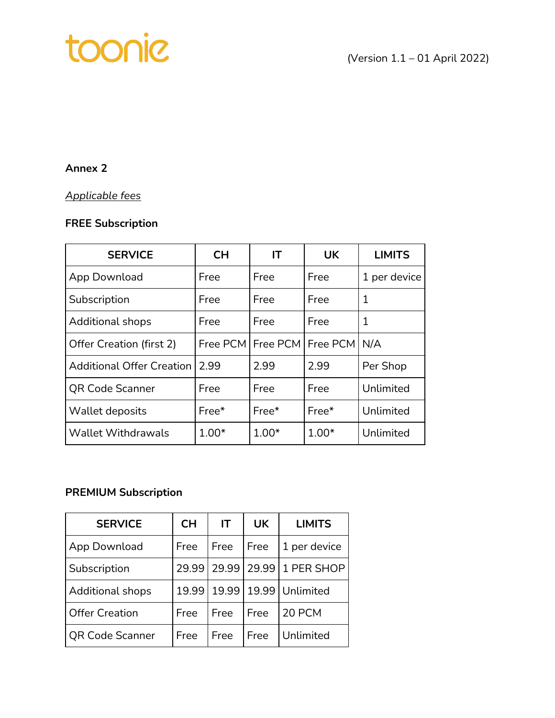# toonic

### **Annex 2**

#### *Applicable fees*

#### **FREE Subscription**

| <b>SERVICE</b>                   | <b>CH</b> | IΤ                             | <b>UK</b> | <b>LIMITS</b> |
|----------------------------------|-----------|--------------------------------|-----------|---------------|
| App Download                     | Free      | Free                           | Free      | 1 per device  |
| Subscription                     | Free      | Free                           | Free      | 1             |
| <b>Additional shops</b>          | Free      | Free                           | Free      | 1             |
| Offer Creation (first 2)         |           | Free PCM   Free PCM   Free PCM |           | N/A           |
| <b>Additional Offer Creation</b> | 2.99      | 2.99                           | 2.99      | Per Shop      |
| <b>QR Code Scanner</b>           | Free      | Free                           | Free      | Unlimited     |
| Wallet deposits                  | Free*     | $Free*$                        | Free*     | Unlimited     |
| <b>Wallet Withdrawals</b>        | $1.00*$   | $1.00*$                        | $1.00*$   | Unlimited     |

#### **PREMIUM Subscription**

| <b>SERVICE</b>          | <b>CH</b> | IT    | UK   | <b>LIMITS</b>    |
|-------------------------|-----------|-------|------|------------------|
| App Download            | Free      | Free  | Free | 1 per device     |
| Subscription            | 29.99     | 29.99 |      | 29.99 1 PER SHOP |
| <b>Additional shops</b> | 19.99     | 19.99 |      | 19.99 Unlimited  |
| <b>Offer Creation</b>   | Free      | Free  | Free | 20 PCM           |
| <b>QR Code Scanner</b>  | Free      | Free  | Free | Unlimited        |